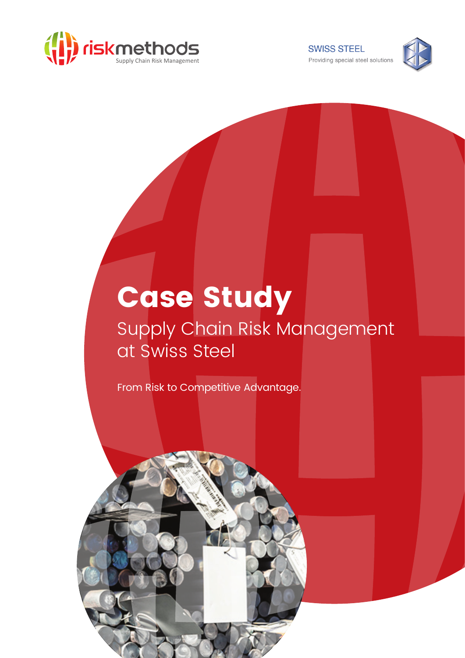

**SWISS STEEL** Providing special steel solutions



## Case Study

## Supply Chain Risk Management at Swiss Steel

From Risk to Competitive Advantage.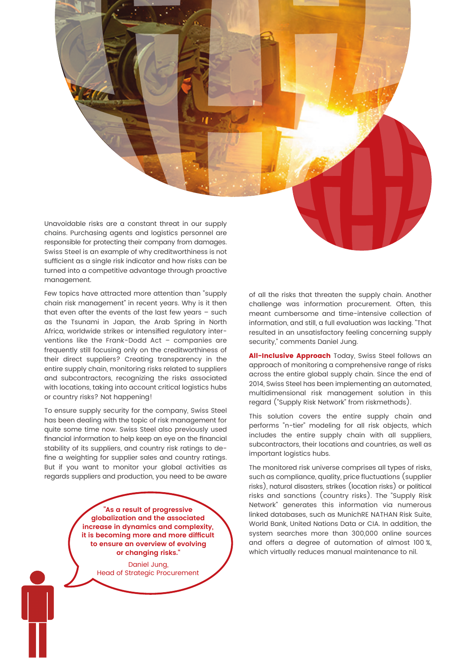Unavoidable risks are a constant threat in our supply chains. Purchasing agents and logistics personnel are responsible for protecting their company from damages. Swiss Steel is an example of why creditworthiness is not sufficient as a single risk indicator and how risks can be turned into a competitive advantage through proactive management.

Few topics have attracted more attention than "supply chain risk management" in recent years. Why is it then that even after the events of the last few years – such as the Tsunami in Japan, the Arab Spring in North Africa, worldwide strikes or intensified regulatory interventions like the Frank-Dodd Act – companies are frequently still focusing only on the creditworthiness of their direct suppliers? Creating transparency in the entire supply chain, monitoring risks related to suppliers and subcontractors, recognizing the risks associated with locations, taking into account critical logistics hubs or country risks? Not happening!

To ensure supply security for the company, Swiss Steel has been dealing with the topic of risk management for quite some time now. Swiss Steel also previously used financial information to help keep an eye on the financial stability of its suppliers, and country risk ratings to define a weighting for supplier sales and country ratings. But if you want to monitor your global activities as regards suppliers and production, you need to be aware

> **"As a result of progressive globalization and the associated increase in dynamics and complexity, it is becoming more and more difficult to ensure an overview of evolving or changing risks."**

> > Daniel Jung, Head of Strategic Procurement

of all the risks that threaten the supply chain. Another challenge was information procurement. Often, this meant cumbersome and time-intensive collection of information, and still, a full evaluation was lacking. "That resulted in an unsatisfactory feeling concerning supply security," comments Daniel Jung.

All-Inclusive Approach Today, Swiss Steel follows an approach of monitoring a comprehensive range of risks across the entire global supply chain. Since the end of 2014, Swiss Steel has been implementing an automated, multidimensional risk management solution in this regard ("Supply Risk Network" from riskmethods).

This solution covers the entire supply chain and performs "n-tier" modeling for all risk objects, which includes the entire supply chain with all suppliers, subcontractors, their locations and countries, as well as important logistics hubs.

The monitored risk universe comprises all types of risks, such as compliance, quality, price fluctuations (supplier risks), natural disasters, strikes (location risks) or political risks and sanctions (country risks). The "Supply Risk Network" generates this information via numerous linked databases, such as MunichRE NATHAN Risk Suite, World Bank, United Nations Data or CIA. In addition, the system searches more than 300,000 online sources and offers a degree of automation of almost 100 %, which virtually reduces manual maintenance to nil.